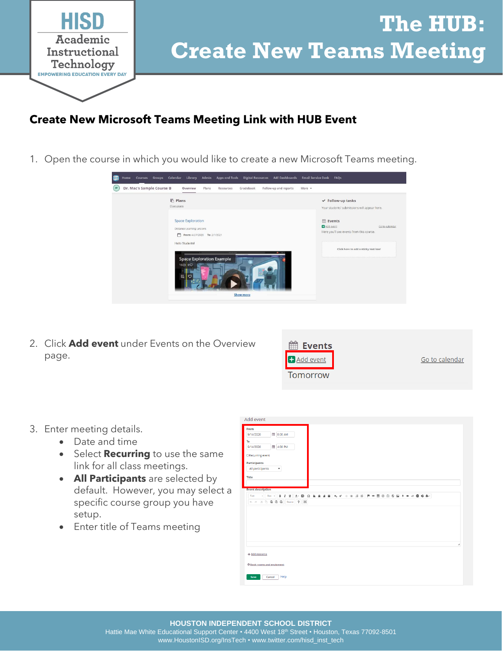

## **The HUB: Create New Teams Meeting**

### **Create New Microsoft Teams Meeting Link with HUB Event**

1. Open the course in which you would like to create a new Microsoft Teams meeting.



2. Click **Add event** under Events on the Overview page.

| <b>Events</b> |                |
|---------------|----------------|
| Add event     | Go to calendar |
| Tomorrow      |                |

- 3. Enter meeting details.
	- Date and time
	- Select **Recurring** to use the same link for all class meetings.
	- **All Participants** are selected by default. However, you may select a specific course group you have setup.
	- Enter title of Teams meeting

| From<br>第 8:00 AM<br>9/14/2020  |  |  |                  |
|---------------------------------|--|--|------------------|
|                                 |  |  |                  |
|                                 |  |  |                  |
| To                              |  |  |                  |
| 第 4:00 PM<br>9/14/2020          |  |  |                  |
| □ Recurring event               |  |  |                  |
| <b>Participants</b>             |  |  |                  |
| All participants<br>$\!\star\!$ |  |  |                  |
| <b>Title</b>                    |  |  |                  |
|                                 |  |  |                  |
| <b>Event description</b>        |  |  |                  |
| Font                            |  |  |                  |
| <b>ヘル ※ ① 面 面 面 Source 2 25</b> |  |  |                  |
|                                 |  |  |                  |
|                                 |  |  |                  |
|                                 |  |  |                  |
|                                 |  |  |                  |
|                                 |  |  |                  |
|                                 |  |  | $\boldsymbol{A}$ |
|                                 |  |  |                  |
| + Add resource                  |  |  |                  |
| O Book rooms and equipment      |  |  |                  |
|                                 |  |  |                  |
| Help<br>Save<br>Cancel          |  |  |                  |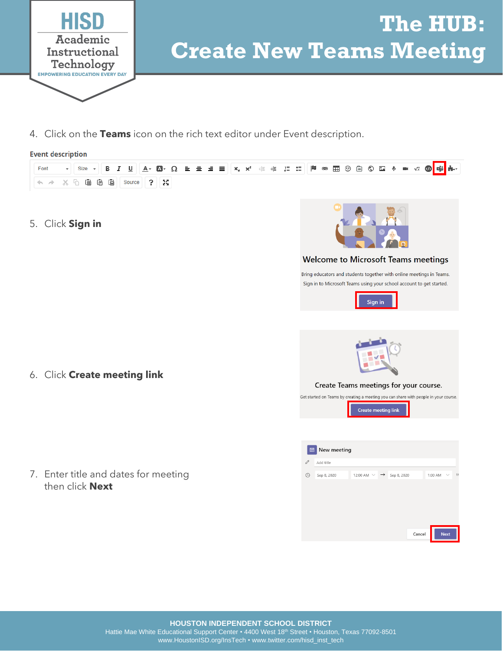

# **The HUB: Create New Teams Meeting**

4. Click on the **Teams** icon on the rich text editor under Event description.

### **Event description**



**HOUSTON INDEPENDENT SCHOOL DISTRICT**